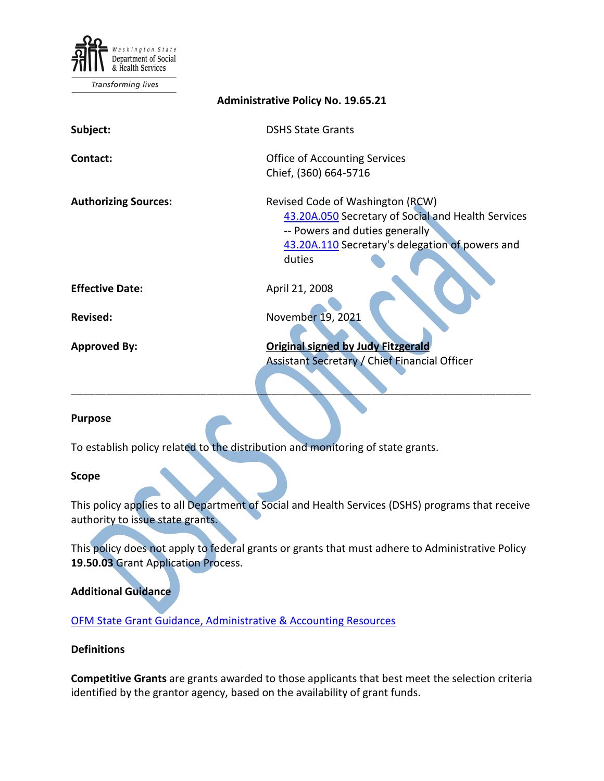

Transforming lives

| <b>Administrative Policy No. 19.65.21</b> |                                                                                                                                                                                       |
|-------------------------------------------|---------------------------------------------------------------------------------------------------------------------------------------------------------------------------------------|
| Subject:                                  | <b>DSHS State Grants</b>                                                                                                                                                              |
| Contact:                                  | <b>Office of Accounting Services</b><br>Chief, (360) 664-5716                                                                                                                         |
| <b>Authorizing Sources:</b>               | Revised Code of Washington (RCW)<br>43.20A.050 Secretary of Social and Health Services<br>-- Powers and duties generally<br>43.20A.110 Secretary's delegation of powers and<br>duties |
| <b>Effective Date:</b>                    | April 21, 2008                                                                                                                                                                        |
| <b>Revised:</b>                           | November 19, 2021                                                                                                                                                                     |
| <b>Approved By:</b>                       | <b>Original signed by Judy Fitzgerald</b><br>Assistant Secretary / Chief Financial Officer                                                                                            |

#### **Purpose**

To establish policy related to the distribution and monitoring of state grants.

#### **Scope**

This policy applies to all Department of Social and Health Services (DSHS) programs that receive authority to issue state grants.

\_\_\_\_\_\_\_\_\_\_\_\_\_\_\_\_\_\_\_\_\_\_\_\_\_\_\_\_\_\_\_\_\_\_\_\_\_\_\_\_\_\_\_\_\_\_\_\_\_\_\_\_\_\_\_\_\_\_\_\_\_\_\_\_\_\_\_\_\_\_\_\_\_\_\_\_\_\_

This policy does not apply to federal grants or grants that must adhere to Administrative Policy **19.50.03** Grant Application Process.

### **Additional Guidance**

[OFM State Grant Guidance, Administrative & Accounting Resources](http://www.ofm.wa.gov/resources/grants.asp)

### **Definitions**

**Competitive Grants** are grants awarded to those applicants that best meet the selection criteria identified by the grantor agency, based on the availability of grant funds.